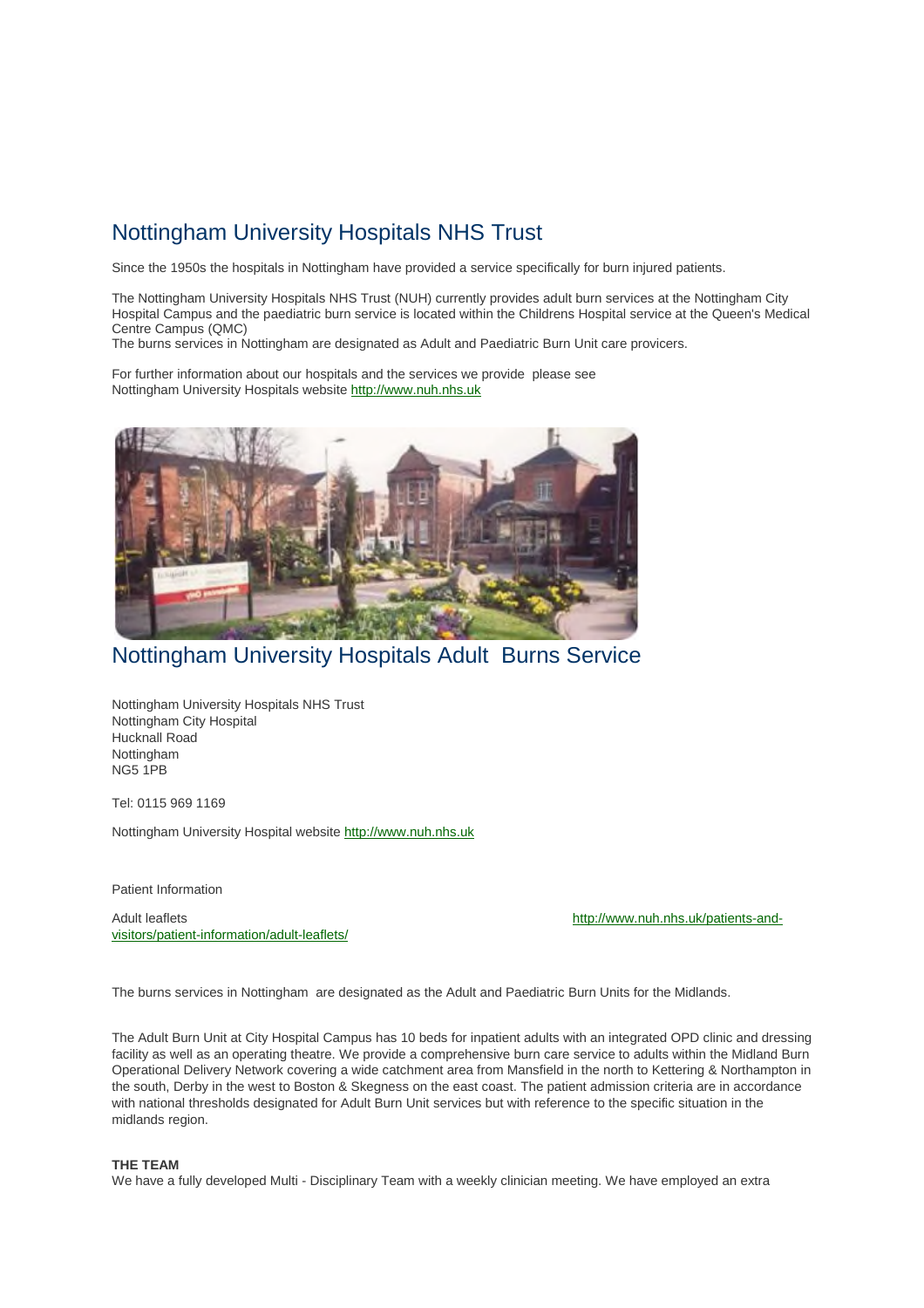# Nottingham University Hospitals NHS Trust

Since the 1950s the hospitals in Nottingham have provided a service specifically for burn injured patients.

The Nottingham University Hospitals NHS Trust (NUH) currently provides adult burn services at the Nottingham City Hospital Campus and the paediatric burn service is located within the Childrens Hospital service at the Queen's Medical Centre Campus (QMC)

The burns services in Nottingham are designated as Adult and Paediatric Burn Unit care provicers.

For further information about our hospitals and the services we provide please see Nottingham University Hospitals website http://www.nuh.nhs.uk



# Nottingham University Hospitals Adult Burns Service

Nottingham University Hospitals NHS Trust Nottingham City Hospital Hucknall Road Nottingham NG5 1PB

Tel: 0115 969 1169

Nottingham University Hospital website http://www.nuh.nhs.uk

Patient Information

Adult leaflets http://www.nuh.nhs.uk/patients-andvisitors/patient-information/adult-leaflets/

The burns services in Nottingham are designated as the Adult and Paediatric Burn Units for the Midlands.

The Adult Burn Unit at City Hospital Campus has 10 beds for inpatient adults with an integrated OPD clinic and dressing facility as well as an operating theatre. We provide a comprehensive burn care service to adults within the Midland Burn Operational Delivery Network covering a wide catchment area from Mansfield in the north to Kettering & Northampton in the south, Derby in the west to Boston & Skegness on the east coast. The patient admission criteria are in accordance with national thresholds designated for Adult Burn Unit services but with reference to the specific situation in the midlands region.

#### **THE TEAM**

We have a fully developed Multi - Disciplinary Team with a weekly clinician meeting. We have employed an extra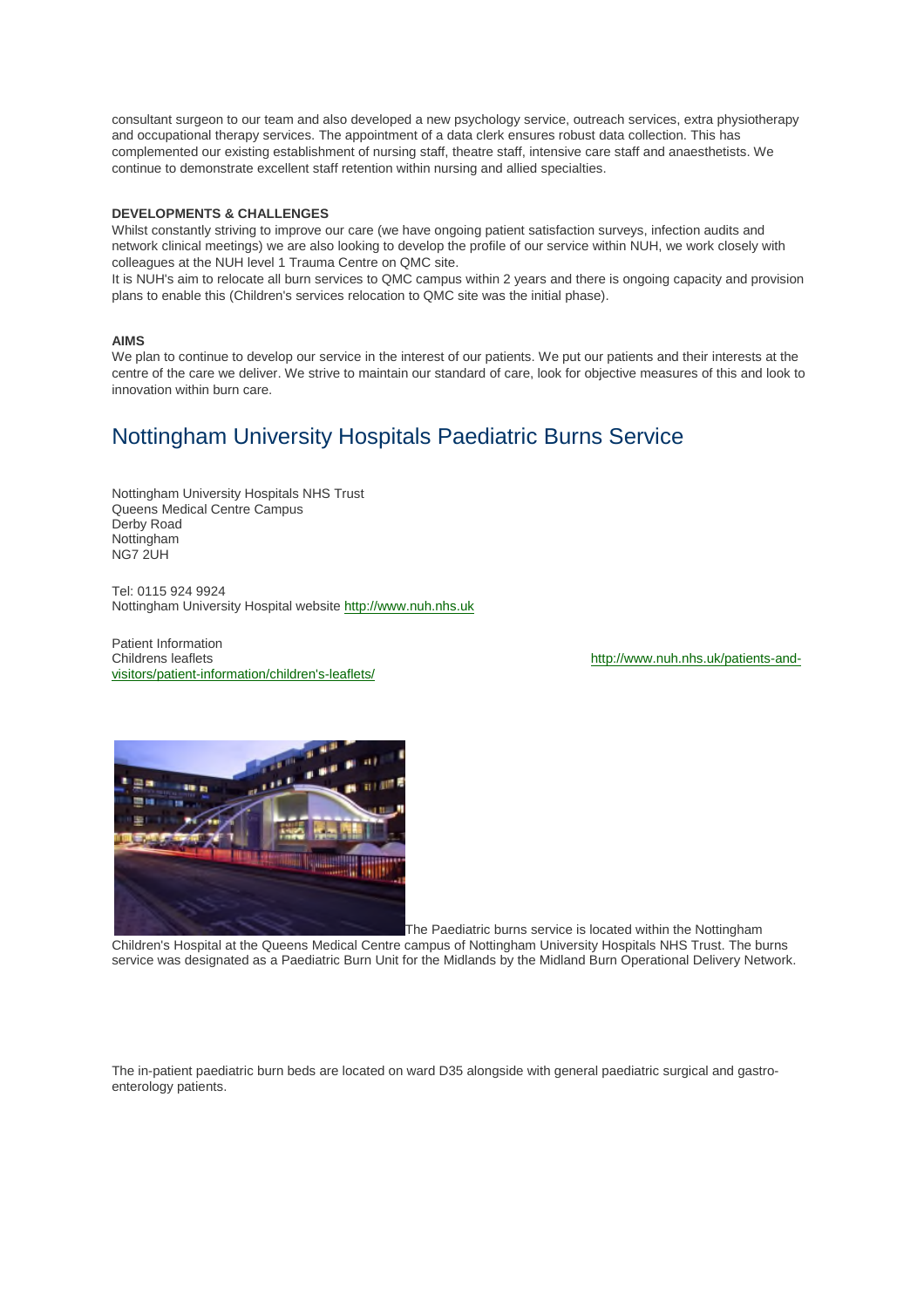consultant surgeon to our team and also developed a new psychology service, outreach services, extra physiotherapy and occupational therapy services. The appointment of a data clerk ensures robust data collection. This has complemented our existing establishment of nursing staff, theatre staff, intensive care staff and anaesthetists. We continue to demonstrate excellent staff retention within nursing and allied specialties.

### **DEVELOPMENTS & CHALLENGES**

Whilst constantly striving to improve our care (we have ongoing patient satisfaction surveys, infection audits and network clinical meetings) we are also looking to develop the profile of our service within NUH, we work closely with colleagues at the NUH level 1 Trauma Centre on QMC site.

It is NUH's aim to relocate all burn services to QMC campus within 2 years and there is ongoing capacity and provision plans to enable this (Children's services relocation to QMC site was the initial phase).

### **AIMS**

We plan to continue to develop our service in the interest of our patients. We put our patients and their interests at the centre of the care we deliver. We strive to maintain our standard of care, look for objective measures of this and look to innovation within burn care.

## Nottingham University Hospitals Paediatric Burns Service

Nottingham University Hospitals NHS Trust Queens Medical Centre Campus Derby Road Nottingham NG7 2UH

Tel: 0115 924 9924 Nottingham University Hospital website http://www.nuh.nhs.uk

Patient Information Childrens leaflets http://www.nuh.nhs.uk/patients-andvisitors/patient-information/children's-leaflets/



The Paediatric burns service is located within the Nottingham Children's Hospital at the Queens Medical Centre campus of Nottingham University Hospitals NHS Trust. The burns service was designated as a Paediatric Burn Unit for the Midlands by the Midland Burn Operational Delivery Network.

The in-patient paediatric burn beds are located on ward D35 alongside with general paediatric surgical and gastroenterology patients.